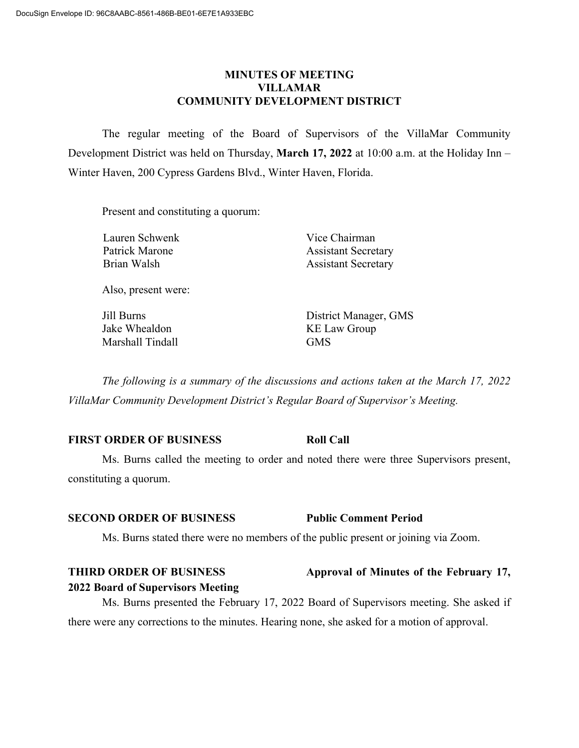### **MINUTES OF MEETING VILLAMAR COMMUNITY DEVELOPMENT DISTRICT**

The regular meeting of the Board of Supervisors of the VillaMar Community Development District was held on Thursday, **March 17, 2022** at 10:00 a.m. at the Holiday Inn – Winter Haven, 200 Cypress Gardens Blvd., Winter Haven, Florida.

Present and constituting a quorum:

Lauren Schwenk Vice Chairman

Patrick Marone **Assistant Secretary** Brian Walsh **Assistant Secretary** 

Also, present were:

Jake Whealdon KE Law Group Marshall Tindall GMS

Jill Burns District Manager, GMS

*The following is a summary of the discussions and actions taken at the March 17, 2022 VillaMar Community Development District's Regular Board of Supervisor's Meeting.*

### **FIRST ORDER OF BUSINESS Roll Call**

Ms. Burns called the meeting to order and noted there were three Supervisors present, constituting a quorum.

### **SECOND ORDER OF BUSINESS Public Comment Period**

**2022 Board of Supervisors Meeting**

Ms. Burns stated there were no members of the public present or joining via Zoom.

# **THIRD ORDER OF BUSINESS Approval of Minutes of the February 17,**

Ms. Burns presented the February 17, 2022 Board of Supervisors meeting. She asked if there were any corrections to the minutes. Hearing none, she asked for a motion of approval.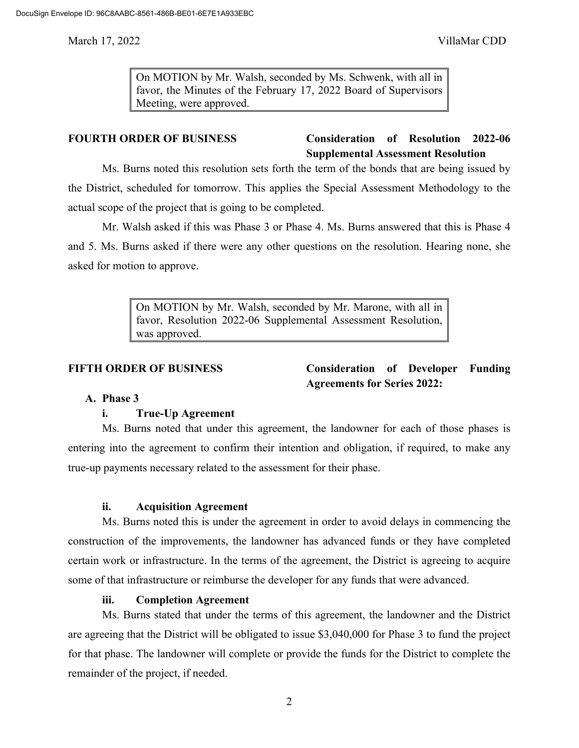On MOTION by Mr. Walsh, seconded by Ms. Schwenk, with all in favor, the Minutes of the February 17, 2022 Board of Supervisors Meeting, were approved.

## **FOURTH ORDER OF BUSINESS Consideration of Resolution 2022-06 Supplemental Assessment Resolution**

Ms. Burns noted this resolution sets forth the term of the bonds that are being issued by the District, scheduled for tomorrow. This applies the Special Assessment Methodology to the actual scope of the project that is going to be completed.

Mr. Walsh asked if this was Phase 3 or Phase 4. Ms. Burns answered that this is Phase 4 and 5. Ms. Burns asked if there were any other questions on the resolution. Hearing none, she asked for motion to approve.

> On MOTION by Mr. Walsh, seconded by Mr. Marone, with all in favor, Resolution 2022-06 Supplemental Assessment Resolution, was approved.

**FIFTH ORDER OF BUSINESS Consideration of Developer Funding Agreements for Series 2022:**

### **A. Phase 3**

### **i. True-Up Agreement**

Ms. Burns noted that under this agreement, the landowner for each of those phases is entering into the agreement to confirm their intention and obligation, if required, to make any true-up payments necessary related to the assessment for their phase.

### **ii. Acquisition Agreement**

Ms. Burns noted this is under the agreement in order to avoid delays in commencing the construction of the improvements, the landowner has advanced funds or they have completed certain work or infrastructure. In the terms of the agreement, the District is agreeing to acquire some of that infrastructure or reimburse the developer for any funds that were advanced.

### **iii. Completion Agreement**

Ms. Burns stated that under the terms of this agreement, the landowner and the District are agreeing that the District will be obligated to issue \$3,040,000 for Phase 3 to fund the project for that phase. The landowner will complete or provide the funds for the District to complete the remainder of the project, if needed.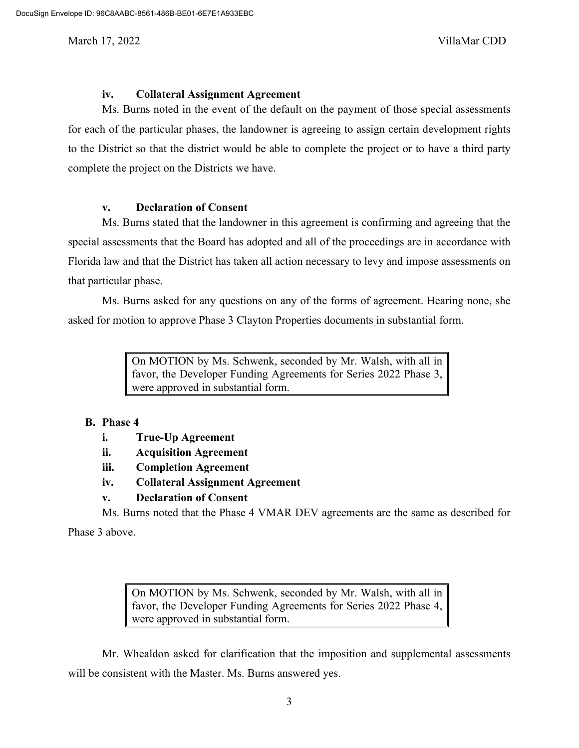### **iv. Collateral Assignment Agreement**

Ms. Burns noted in the event of the default on the payment of those special assessments for each of the particular phases, the landowner is agreeing to assign certain development rights to the District so that the district would be able to complete the project or to have a third party complete the project on the Districts we have.

### **v. Declaration of Consent**

Ms. Burns stated that the landowner in this agreement is confirming and agreeing that the special assessments that the Board has adopted and all of the proceedings are in accordance with Florida law and that the District has taken all action necessary to levy and impose assessments on that particular phase.

Ms. Burns asked for any questions on any of the forms of agreement. Hearing none, she asked for motion to approve Phase 3 Clayton Properties documents in substantial form.

> On MOTION by Ms. Schwenk, seconded by Mr. Walsh, with all in favor, the Developer Funding Agreements for Series 2022 Phase 3, were approved in substantial form.

### **B. Phase 4**

- **i. True-Up Agreement**
- **ii. Acquisition Agreement**
- **iii. Completion Agreement**
- **iv. Collateral Assignment Agreement**

### **v. Declaration of Consent**

Ms. Burns noted that the Phase 4 VMAR DEV agreements are the same as described for

Phase 3 above.

On MOTION by Ms. Schwenk, seconded by Mr. Walsh, with all in favor, the Developer Funding Agreements for Series 2022 Phase 4, were approved in substantial form.

Mr. Whealdon asked for clarification that the imposition and supplemental assessments will be consistent with the Master. Ms. Burns answered yes.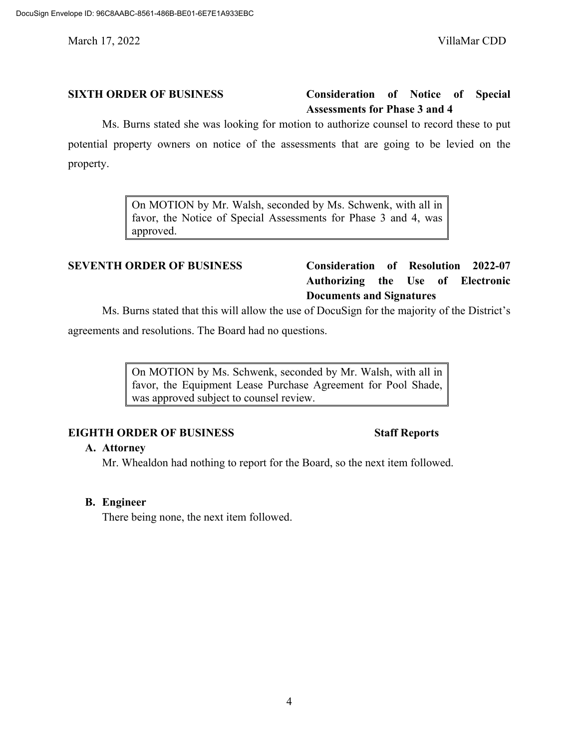## **SIXTH ORDER OF BUSINESS Consideration of Notice of Special Assessments for Phase 3 and 4**

Ms. Burns stated she was looking for motion to authorize counsel to record these to put potential property owners on notice of the assessments that are going to be levied on the property.

> On MOTION by Mr. Walsh, seconded by Ms. Schwenk, with all in favor, the Notice of Special Assessments for Phase 3 and 4, was approved.

# **SEVENTH ORDER OF BUSINESS Consideration of Resolution 2022-07 Authorizing the Use of Electronic Documents and Signatures**

Ms. Burns stated that this will allow the use of DocuSign for the majority of the District's

agreements and resolutions. The Board had no questions.

On MOTION by Ms. Schwenk, seconded by Mr. Walsh, with all in favor, the Equipment Lease Purchase Agreement for Pool Shade, was approved subject to counsel review.

## **EIGHTH ORDER OF BUSINESS Staff Reports**

### **A. Attorney**

Mr. Whealdon had nothing to report for the Board, so the next item followed.

### **B. Engineer**

There being none, the next item followed.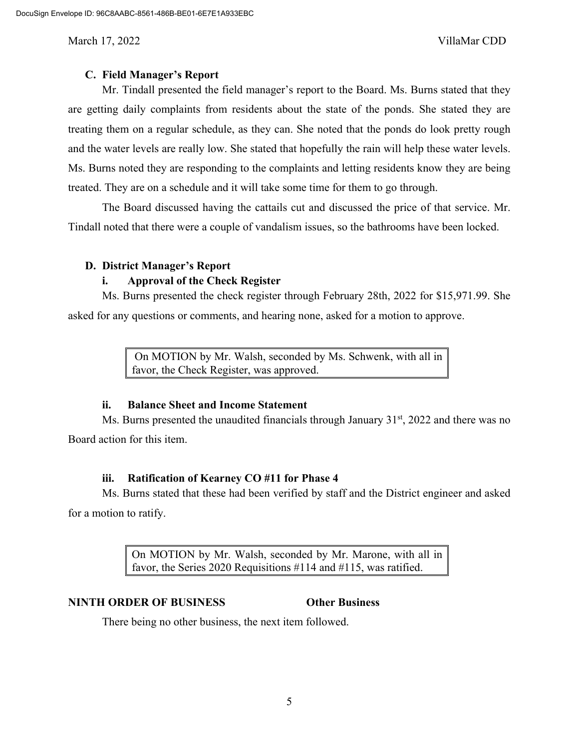### **C. Field Manager's Report**

Mr. Tindall presented the field manager's report to the Board. Ms. Burns stated that they are getting daily complaints from residents about the state of the ponds. She stated they are treating them on a regular schedule, as they can. She noted that the ponds do look pretty rough and the water levels are really low. She stated that hopefully the rain will help these water levels. Ms. Burns noted they are responding to the complaints and letting residents know they are being treated. They are on a schedule and it will take some time for them to go through.

The Board discussed having the cattails cut and discussed the price of that service. Mr. Tindall noted that there were a couple of vandalism issues, so the bathrooms have been locked.

### **D. District Manager's Report**

### **i. Approval of the Check Register**

Ms. Burns presented the check register through February 28th, 2022 for \$15,971.99. She asked for any questions or comments, and hearing none, asked for a motion to approve.

> On MOTION by Mr. Walsh, seconded by Ms. Schwenk, with all in favor, the Check Register, was approved.

### **ii. Balance Sheet and Income Statement**

Ms. Burns presented the unaudited financials through January  $31<sup>st</sup>$ , 2022 and there was no Board action for this item.

## **iii. Ratification of Kearney CO #11 for Phase 4**

Ms. Burns stated that these had been verified by staff and the District engineer and asked for a motion to ratify.

> On MOTION by Mr. Walsh, seconded by Mr. Marone, with all in favor, the Series 2020 Requisitions #114 and #115, was ratified.

## **NINTH ORDER OF BUSINESS Other Business**

There being no other business, the next item followed.